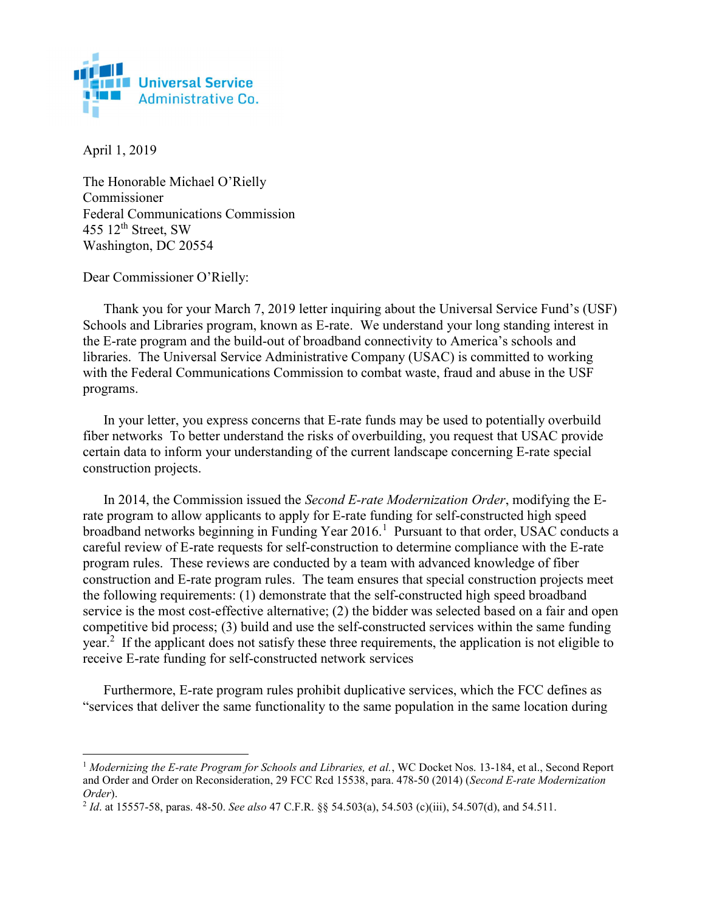

April 1, 2019

 $\overline{a}$ 

The Honorable Michael O'Rielly Commissioner Federal Communications Commission 455  $12<sup>th</sup>$  Street, SW Washington, DC 20554

Dear Commissioner O'Rielly:

Thank you for your March 7, 2019 letter inquiring about the Universal Service Fund's (USF) Schools and Libraries program, known as E-rate. We understand your long standing interest in the E-rate program and the build-out of broadband connectivity to America's schools and libraries. The Universal Service Administrative Company (USAC) is committed to working with the Federal Communications Commission to combat waste, fraud and abuse in the USF programs.

In your letter, you express concerns that E-rate funds may be used to potentially overbuild fiber networks To better understand the risks of overbuilding, you request that USAC provide certain data to inform your understanding of the current landscape concerning E-rate special construction projects.

In 2014, the Commission issued the Second E-rate Modernization Order, modifying the Erate program to allow applicants to apply for E-rate funding for self-constructed high speed broadband networks beginning in Funding Year 2016.<sup>1</sup> Pursuant to that order, USAC conducts a careful review of E-rate requests for self-construction to determine compliance with the E-rate program rules. These reviews are conducted by a team with advanced knowledge of fiber construction and E-rate program rules. The team ensures that special construction projects meet the following requirements: (1) demonstrate that the self-constructed high speed broadband service is the most cost-effective alternative; (2) the bidder was selected based on a fair and open competitive bid process; (3) build and use the self-constructed services within the same funding year.<sup>2</sup> If the applicant does not satisfy these three requirements, the application is not eligible to receive E-rate funding for self-constructed network services

Furthermore, E-rate program rules prohibit duplicative services, which the FCC defines as "services that deliver the same functionality to the same population in the same location during

<sup>&</sup>lt;sup>1</sup> Modernizing the E-rate Program for Schools and Libraries, et al., WC Docket Nos. 13-184, et al., Second Report and Order and Order on Reconsideration, 29 FCC Rcd 15538, para. 478-50 (2014) (Second E-rate Modernization Order).

 $^{2}$  Id. at 15557-58, paras. 48-50. See also 47 C.F.R. §§ 54.503(a), 54.503 (c)(iii), 54.507(d), and 54.511.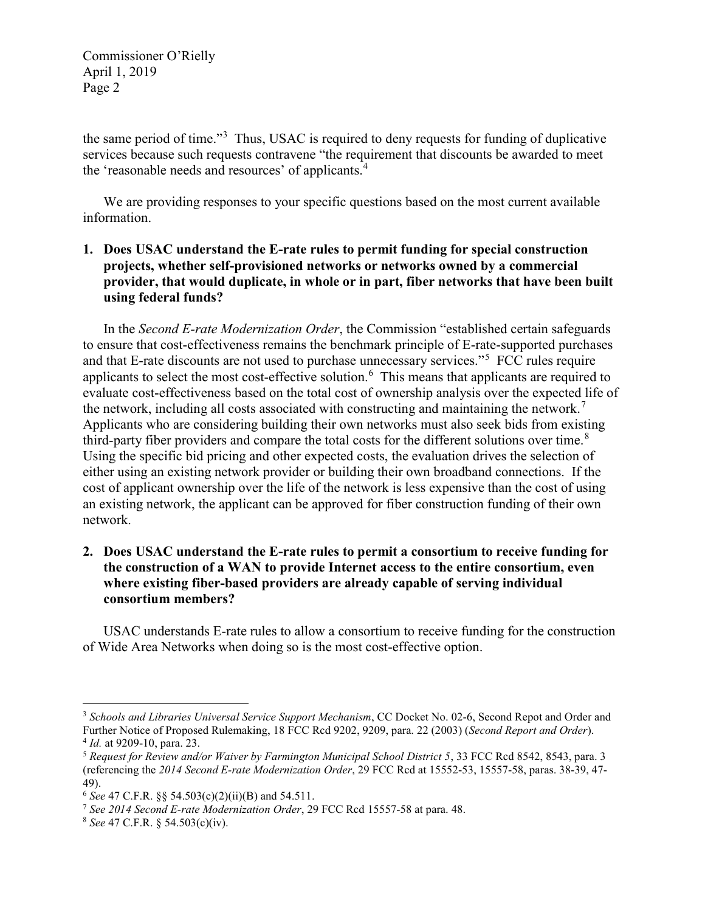Commissioner O'Rielly April 1, 2019 Page 2

the same period of time."<sup>3</sup> Thus, USAC is required to deny requests for funding of duplicative services because such requests contravene "the requirement that discounts be awarded to meet the 'reasonable needs and resources' of applicants.<sup>4</sup>

We are providing responses to your specific questions based on the most current available information.

# 1. Does USAC understand the E-rate rules to permit funding for special construction projects, whether self-provisioned networks or networks owned by a commercial provider, that would duplicate, in whole or in part, fiber networks that have been built using federal funds?

In the Second E-rate Modernization Order, the Commission "established certain safeguards to ensure that cost-effectiveness remains the benchmark principle of E-rate-supported purchases and that E-rate discounts are not used to purchase unnecessary services."<sup>5</sup> FCC rules require applicants to select the most cost-effective solution.  $6$  This means that applicants are required to evaluate cost-effectiveness based on the total cost of ownership analysis over the expected life of the network, including all costs associated with constructing and maintaining the network.<sup>7</sup> Applicants who are considering building their own networks must also seek bids from existing third-party fiber providers and compare the total costs for the different solutions over time.<sup>8</sup> Using the specific bid pricing and other expected costs, the evaluation drives the selection of either using an existing network provider or building their own broadband connections. If the cost of applicant ownership over the life of the network is less expensive than the cost of using an existing network, the applicant can be approved for fiber construction funding of their own network.

### 2. Does USAC understand the E-rate rules to permit a consortium to receive funding for the construction of a WAN to provide Internet access to the entire consortium, even where existing fiber-based providers are already capable of serving individual consortium members?

USAC understands E-rate rules to allow a consortium to receive funding for the construction of Wide Area Networks when doing so is the most cost-effective option.

 $\overline{a}$ 

<sup>&</sup>lt;sup>3</sup> Schools and Libraries Universal Service Support Mechanism, CC Docket No. 02-6, Second Repot and Order and Further Notice of Proposed Rulemaking, 18 FCC Rcd 9202, 9209, para. 22 (2003) (Second Report and Order). <sup>4</sup> *Id.* at 9209-10, para. 23.

<sup>5</sup> Request for Review and/or Waiver by Farmington Municipal School District 5, 33 FCC Rcd 8542, 8543, para. 3 (referencing the 2014 Second E-rate Modernization Order, 29 FCC Rcd at 15552-53, 15557-58, paras. 38-39, 47- 49).

 $6$  See 47 C.F.R.  $88$  54.503(c)(2)(ii)(B) and 54.511.

 $7$  See 2014 Second E-rate Modernization Order, 29 FCC Rcd 15557-58 at para. 48.

<sup>8</sup> See 47 C.F.R. § 54.503(c)(iv).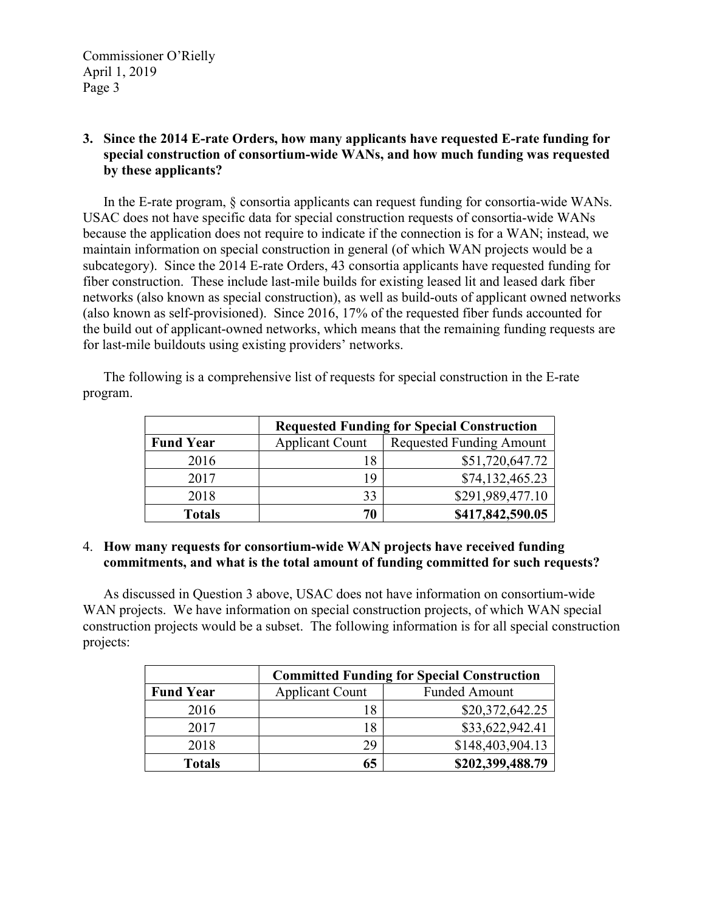# 3. Since the 2014 E-rate Orders, how many applicants have requested E-rate funding for special construction of consortium-wide WANs, and how much funding was requested by these applicants?

In the E-rate program, § consortia applicants can request funding for consortia-wide WANs. USAC does not have specific data for special construction requests of consortia-wide WANs because the application does not require to indicate if the connection is for a WAN; instead, we maintain information on special construction in general (of which WAN projects would be a subcategory). Since the 2014 E-rate Orders, 43 consortia applicants have requested funding for fiber construction. These include last-mile builds for existing leased lit and leased dark fiber networks (also known as special construction), as well as build-outs of applicant owned networks (also known as self-provisioned). Since 2016, 17% of the requested fiber funds accounted for the build out of applicant-owned networks, which means that the remaining funding requests are for last-mile buildouts using existing providers' networks.

The following is a comprehensive list of requests for special construction in the E-rate program.

|                  | <b>Requested Funding for Special Construction</b> |                                 |
|------------------|---------------------------------------------------|---------------------------------|
| <b>Fund Year</b> | <b>Applicant Count</b>                            | <b>Requested Funding Amount</b> |
| 2016             | 18                                                | \$51,720,647.72                 |
| 2017             | 19                                                | \$74,132,465.23                 |
| 2018             | 33                                                | \$291,989,477.10                |
| <b>Totals</b>    | 70                                                | \$417,842,590.05                |

#### 4. How many requests for consortium-wide WAN projects have received funding commitments, and what is the total amount of funding committed for such requests?

As discussed in Question 3 above, USAC does not have information on consortium-wide WAN projects. We have information on special construction projects, of which WAN special construction projects would be a subset. The following information is for all special construction projects:

|                  | <b>Committed Funding for Special Construction</b> |                      |
|------------------|---------------------------------------------------|----------------------|
| <b>Fund Year</b> | <b>Applicant Count</b>                            | <b>Funded Amount</b> |
| 2016             |                                                   | \$20,372,642.25      |
| 2017             | 18                                                | \$33,622,942.41      |
| 2018             | 29                                                | \$148,403,904.13     |
| <b>Totals</b>    |                                                   | \$202,399,488.79     |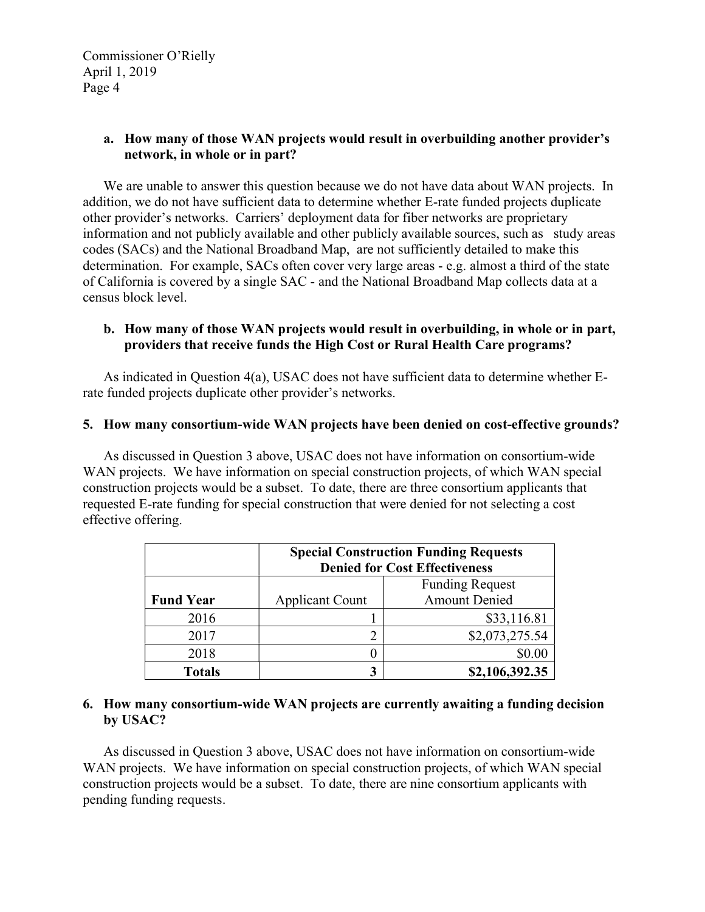Commissioner O'Rielly April 1, 2019 Page 4

# a. How many of those WAN projects would result in overbuilding another provider's network, in whole or in part?

We are unable to answer this question because we do not have data about WAN projects. In addition, we do not have sufficient data to determine whether E-rate funded projects duplicate other provider's networks. Carriers' deployment data for fiber networks are proprietary information and not publicly available and other publicly available sources, such as study areas codes (SACs) and the National Broadband Map, are not sufficiently detailed to make this determination. For example, SACs often cover very large areas - e.g. almost a third of the state of California is covered by a single SAC - and the National Broadband Map collects data at a census block level.

#### b. How many of those WAN projects would result in overbuilding, in whole or in part, providers that receive funds the High Cost or Rural Health Care programs?

As indicated in Question 4(a), USAC does not have sufficient data to determine whether Erate funded projects duplicate other provider's networks.

#### 5. How many consortium-wide WAN projects have been denied on cost-effective grounds?

As discussed in Question 3 above, USAC does not have information on consortium-wide WAN projects. We have information on special construction projects, of which WAN special construction projects would be a subset. To date, there are three consortium applicants that requested E-rate funding for special construction that were denied for not selecting a cost effective offering.

|                  | <b>Special Construction Funding Requests</b> |                        |
|------------------|----------------------------------------------|------------------------|
|                  | <b>Denied for Cost Effectiveness</b>         |                        |
|                  |                                              | <b>Funding Request</b> |
| <b>Fund Year</b> | <b>Applicant Count</b>                       | <b>Amount Denied</b>   |
| 2016             |                                              | \$33,116.81            |
| 2017             | 2                                            | \$2,073,275.54         |
| 2018             | 1                                            | \$0.00                 |
| <b>Totals</b>    | 3                                            | \$2,106,392.35         |

#### 6. How many consortium-wide WAN projects are currently awaiting a funding decision by USAC?

As discussed in Question 3 above, USAC does not have information on consortium-wide WAN projects. We have information on special construction projects, of which WAN special construction projects would be a subset. To date, there are nine consortium applicants with pending funding requests.